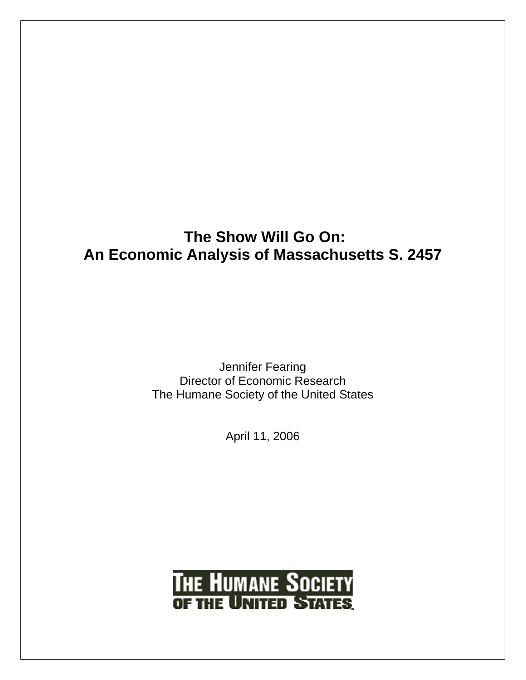## **The Show Will Go On: An Economic Analysis of Massachusetts S. 2457**

Jennifer Fearing Director of Economic Research The Humane Society of the United States

April 11, 2006

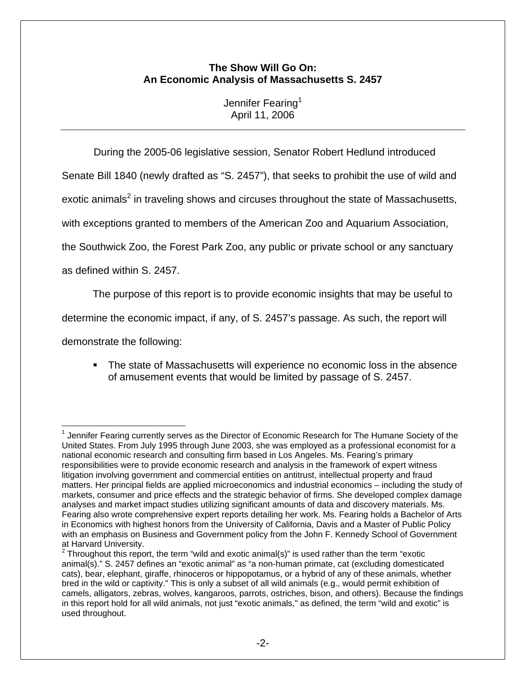### **The Show Will Go On: An Economic Analysis of Massachusetts S. 2457**

Jennifer Fearing<sup>1</sup> April 11, 2006

During the 2005-06 legislative session, Senator Robert Hedlund introduced

Senate Bill 1840 (newly drafted as "S. 2457"), that seeks to prohibit the use of wild and

exotic animals<sup>2</sup> in traveling shows and circuses throughout the state of Massachusetts,

with exceptions granted to members of the American Zoo and Aquarium Association,

the Southwick Zoo, the Forest Park Zoo, any public or private school or any sanctuary

as defined within S. 2457.

The purpose of this report is to provide economic insights that may be useful to

determine the economic impact, if any, of S. 2457's passage. As such, the report will

demonstrate the following:

1

 The state of Massachusetts will experience no economic loss in the absence of amusement events that would be limited by passage of S. 2457.

 $1$  Jennifer Fearing currently serves as the Director of Economic Research for The Humane Society of the United States. From July 1995 through June 2003, she was employed as a professional economist for a national economic research and consulting firm based in Los Angeles. Ms. Fearing's primary responsibilities were to provide economic research and analysis in the framework of expert witness litigation involving government and commercial entities on antitrust, intellectual property and fraud matters. Her principal fields are applied microeconomics and industrial economics – including the study of markets, consumer and price effects and the strategic behavior of firms. She developed complex damage analyses and market impact studies utilizing significant amounts of data and discovery materials. Ms. Fearing also wrote comprehensive expert reports detailing her work. Ms. Fearing holds a Bachelor of Arts in Economics with highest honors from the University of California, Davis and a Master of Public Policy with an emphasis on Business and Government policy from the John F. Kennedy School of Government at Harvard University.<br><sup>2</sup> Throughout this rang

Throughout this report, the term "wild and exotic animal(s)" is used rather than the term "exotic animal(s)." S. 2457 defines an "exotic animal" as "a non-human primate, cat (excluding domesticated cats), bear, elephant, giraffe, rhinoceros or hippopotamus, or a hybrid of any of these animals, whether bred in the wild or captivity." This is only a subset of all wild animals (e.g., would permit exhibition of camels, alligators, zebras, wolves, kangaroos, parrots, ostriches, bison, and others). Because the findings in this report hold for all wild animals, not just "exotic animals," as defined, the term "wild and exotic" is used throughout.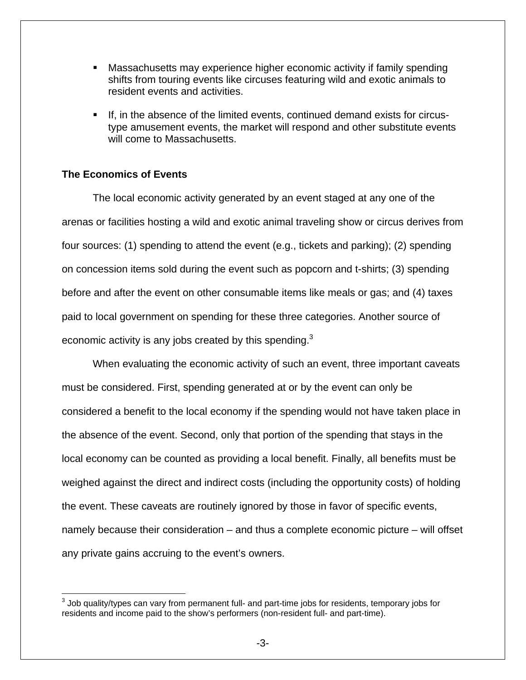- Massachusetts may experience higher economic activity if family spending shifts from touring events like circuses featuring wild and exotic animals to resident events and activities.
- If, in the absence of the limited events, continued demand exists for circustype amusement events, the market will respond and other substitute events will come to Massachusetts.

#### **The Economics of Events**

The local economic activity generated by an event staged at any one of the arenas or facilities hosting a wild and exotic animal traveling show or circus derives from four sources: (1) spending to attend the event (e.g., tickets and parking); (2) spending on concession items sold during the event such as popcorn and t-shirts; (3) spending before and after the event on other consumable items like meals or gas; and (4) taxes paid to local government on spending for these three categories. Another source of economic activity is any jobs created by this spending. $3$ 

When evaluating the economic activity of such an event, three important caveats must be considered. First, spending generated at or by the event can only be considered a benefit to the local economy if the spending would not have taken place in the absence of the event. Second, only that portion of the spending that stays in the local economy can be counted as providing a local benefit. Finally, all benefits must be weighed against the direct and indirect costs (including the opportunity costs) of holding the event. These caveats are routinely ignored by those in favor of specific events, namely because their consideration – and thus a complete economic picture – will offset any private gains accruing to the event's owners.

 $\overline{a}$  $^3$  Job quality/types can vary from permanent full- and part-time jobs for residents, temporary jobs for residents and income paid to the show's performers (non-resident full- and part-time).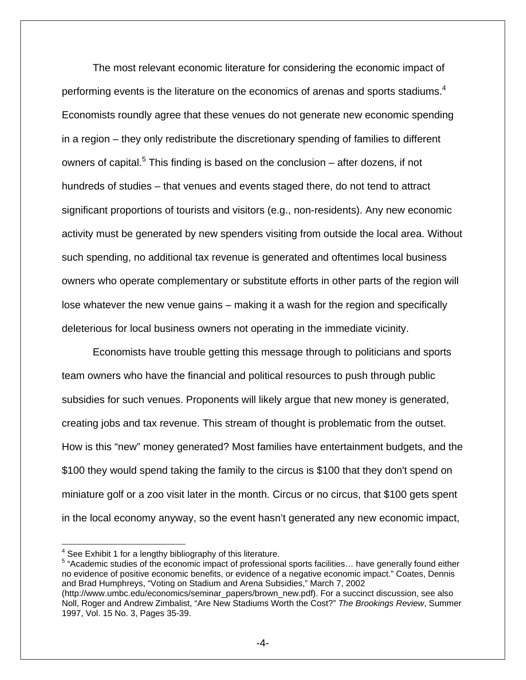The most relevant economic literature for considering the economic impact of performing events is the literature on the economics of arenas and sports stadiums.<sup>4</sup> Economists roundly agree that these venues do not generate new economic spending in a region – they only redistribute the discretionary spending of families to different owners of capital.<sup>5</sup> This finding is based on the conclusion – after dozens, if not hundreds of studies – that venues and events staged there, do not tend to attract significant proportions of tourists and visitors (e.g., non-residents). Any new economic activity must be generated by new spenders visiting from outside the local area. Without such spending, no additional tax revenue is generated and oftentimes local business owners who operate complementary or substitute efforts in other parts of the region will lose whatever the new venue gains – making it a wash for the region and specifically deleterious for local business owners not operating in the immediate vicinity.

 Economists have trouble getting this message through to politicians and sports team owners who have the financial and political resources to push through public subsidies for such venues. Proponents will likely argue that new money is generated, creating jobs and tax revenue. This stream of thought is problematic from the outset. How is this "new" money generated? Most families have entertainment budgets, and the \$100 they would spend taking the family to the circus is \$100 that they don't spend on miniature golf or a zoo visit later in the month. Circus or no circus, that \$100 gets spent in the local economy anyway, so the event hasn't generated any new economic impact,

<sup>5</sup> "Academic studies of the economic impact of professional sports facilities... have generally found either no evidence of positive economic benefits, or evidence of a negative economic impact." Coates, Dennis and Brad Humphreys, "Voting on Stadium and Arena Subsidies," March 7, 2002 (http://www.umbc.edu/economics/seminar\_papers/brown\_new.pdf). For a succinct discussion, see also Noll, Roger and Andrew Zimbalist, "Are New Stadiums Worth the Cost?" *The Brookings Review*, Summer 1997, Vol. 15 No. 3, Pages 35-39.

 4 See Exhibit 1 for a lengthy bibliography of this literature.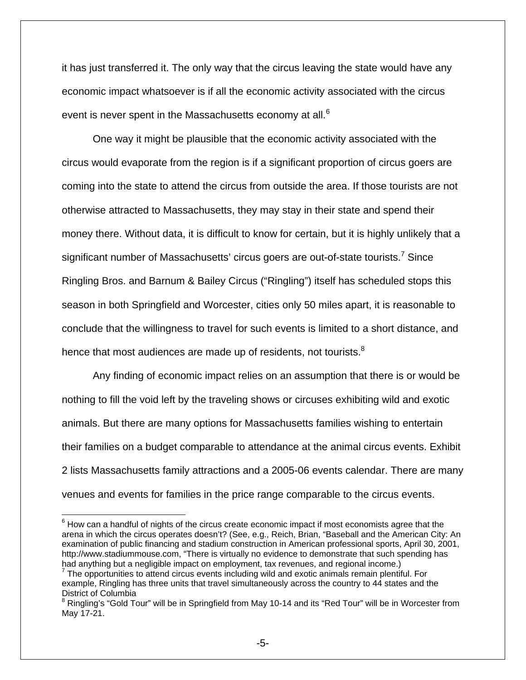it has just transferred it. The only way that the circus leaving the state would have any economic impact whatsoever is if all the economic activity associated with the circus event is never spent in the Massachusetts economy at all.<sup>6</sup>

 One way it might be plausible that the economic activity associated with the circus would evaporate from the region is if a significant proportion of circus goers are coming into the state to attend the circus from outside the area. If those tourists are not otherwise attracted to Massachusetts, they may stay in their state and spend their money there. Without data, it is difficult to know for certain, but it is highly unlikely that a significant number of Massachusetts' circus goers are out-of-state tourists.<sup>7</sup> Since Ringling Bros. and Barnum & Bailey Circus ("Ringling") itself has scheduled stops this season in both Springfield and Worcester, cities only 50 miles apart, it is reasonable to conclude that the willingness to travel for such events is limited to a short distance, and hence that most audiences are made up of residents, not tourists.<sup>8</sup>

 Any finding of economic impact relies on an assumption that there is or would be nothing to fill the void left by the traveling shows or circuses exhibiting wild and exotic animals. But there are many options for Massachusetts families wishing to entertain their families on a budget comparable to attendance at the animal circus events. Exhibit 2 lists Massachusetts family attractions and a 2005-06 events calendar. There are many venues and events for families in the price range comparable to the circus events.

 $\overline{a}$ 

 $<sup>6</sup>$  How can a handful of nights of the circus create economic impact if most economists agree that the</sup> arena in which the circus operates doesn't? (See, e.g., Reich, Brian, "Baseball and the American City: An examination of public financing and stadium construction in American professional sports, April 30, 2001, http://www.stadiummouse.com, "There is virtually no evidence to demonstrate that such spending has had anything but a negligible impact on employment, tax revenues, and regional income.)

 $7$  The opportunities to attend circus events including wild and exotic animals remain plentiful. For example, Ringling has three units that travel simultaneously across the country to 44 states and the District of Columbia

<sup>&</sup>lt;sup>8</sup> Ringling's "Gold Tour" will be in Springfield from May 10-14 and its "Red Tour" will be in Worcester from May 17-21.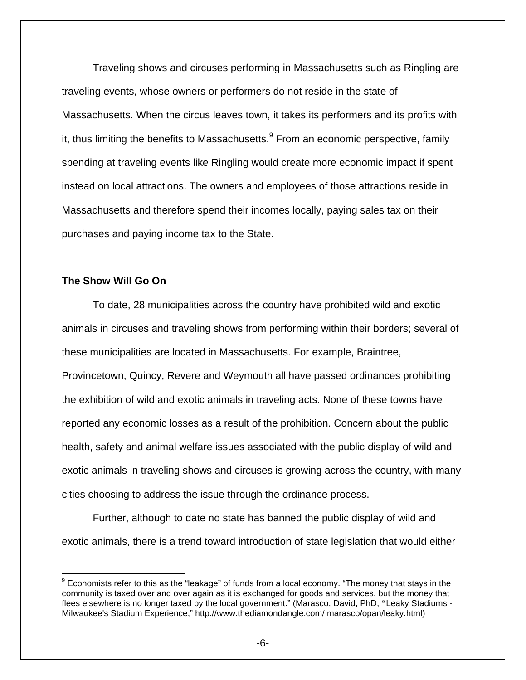Traveling shows and circuses performing in Massachusetts such as Ringling are traveling events, whose owners or performers do not reside in the state of Massachusetts. When the circus leaves town, it takes its performers and its profits with it, thus limiting the benefits to Massachusetts.<sup>9</sup> From an economic perspective, family spending at traveling events like Ringling would create more economic impact if spent instead on local attractions. The owners and employees of those attractions reside in Massachusetts and therefore spend their incomes locally, paying sales tax on their purchases and paying income tax to the State.

#### **The Show Will Go On**

 $\overline{a}$ 

 To date, 28 municipalities across the country have prohibited wild and exotic animals in circuses and traveling shows from performing within their borders; several of these municipalities are located in Massachusetts. For example, Braintree, Provincetown, Quincy, Revere and Weymouth all have passed ordinances prohibiting the exhibition of wild and exotic animals in traveling acts. None of these towns have reported any economic losses as a result of the prohibition. Concern about the public health, safety and animal welfare issues associated with the public display of wild and exotic animals in traveling shows and circuses is growing across the country, with many cities choosing to address the issue through the ordinance process.

 Further, although to date no state has banned the public display of wild and exotic animals, there is a trend toward introduction of state legislation that would either

 $9$  Economists refer to this as the "leakage" of funds from a local economy. "The money that stays in the community is taxed over and over again as it is exchanged for goods and services, but the money that flees elsewhere is no longer taxed by the local government." (Marasco, David, PhD, **"**Leaky Stadiums - Milwaukee's Stadium Experience," http://www.thediamondangle.com/ marasco/opan/leaky.html)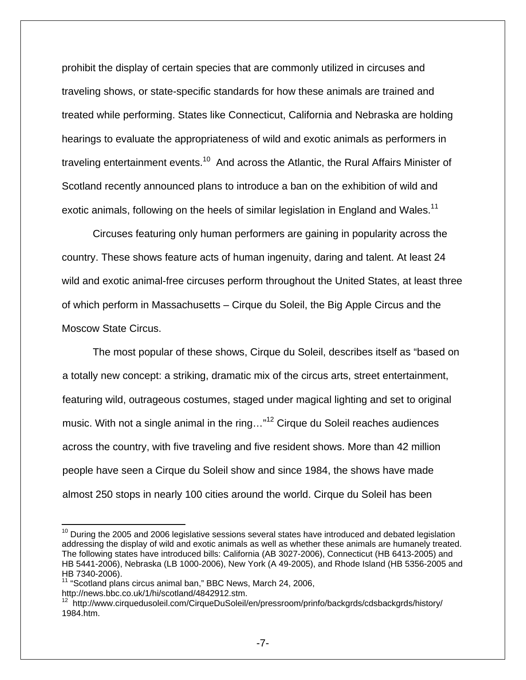prohibit the display of certain species that are commonly utilized in circuses and traveling shows, or state-specific standards for how these animals are trained and treated while performing. States like Connecticut, California and Nebraska are holding hearings to evaluate the appropriateness of wild and exotic animals as performers in traveling entertainment events.<sup>10</sup> And across the Atlantic, the Rural Affairs Minister of Scotland recently announced plans to introduce a ban on the exhibition of wild and exotic animals, following on the heels of similar legislation in England and Wales.<sup>11</sup>

 Circuses featuring only human performers are gaining in popularity across the country. These shows feature acts of human ingenuity, daring and talent. At least 24 wild and exotic animal-free circuses perform throughout the United States, at least three of which perform in Massachusetts – Cirque du Soleil, the Big Apple Circus and the Moscow State Circus.

 The most popular of these shows, Cirque du Soleil, describes itself as "based on a totally new concept: a striking, dramatic mix of the circus arts, street entertainment, featuring wild, outrageous costumes, staged under magical lighting and set to original music. With not a single animal in the ring..."<sup>12</sup> Cirque du Soleil reaches audiences across the country, with five traveling and five resident shows. More than 42 million people have seen a Cirque du Soleil show and since 1984, the shows have made almost 250 stops in nearly 100 cities around the world. Cirque du Soleil has been

<sup>1</sup>  $10$  During the 2005 and 2006 legislative sessions several states have introduced and debated legislation addressing the display of wild and exotic animals as well as whether these animals are humanely treated. The following states have introduced bills: California (AB 3027-2006), Connecticut (HB 6413-2005) and HB 5441-2006), Nebraska (LB 1000-2006), New York (A 49-2005), and Rhode Island (HB 5356-2005 and HB 7340-2006).

<sup>&</sup>lt;sup>11</sup> "Scotland plans circus animal ban," BBC News, March 24, 2006, http://news.bbc.co.uk/1/hi/scotland/4842912.stm.

<sup>&</sup>lt;sup>12</sup> http://www.cirquedusoleil.com/CirqueDuSoleil/en/pressroom/prinfo/backgrds/cdsbackgrds/history/ 1984.htm.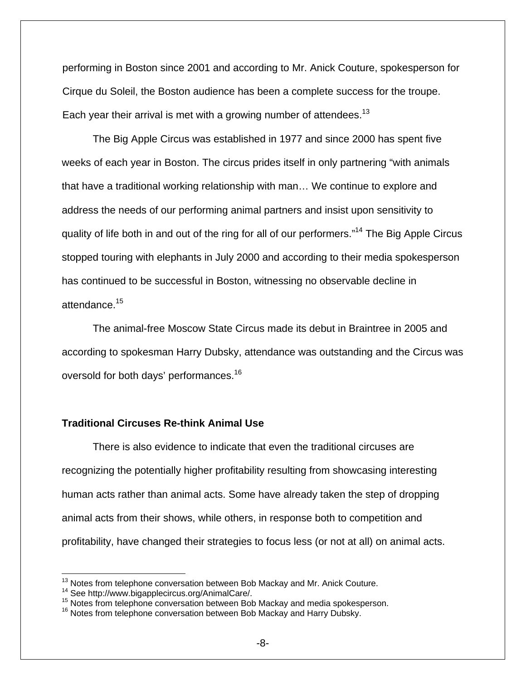performing in Boston since 2001 and according to Mr. Anick Couture, spokesperson for Cirque du Soleil, the Boston audience has been a complete success for the troupe. Each year their arrival is met with a growing number of attendees.<sup>13</sup>

 The Big Apple Circus was established in 1977 and since 2000 has spent five weeks of each year in Boston. The circus prides itself in only partnering "with animals that have a traditional working relationship with man… We continue to explore and address the needs of our performing animal partners and insist upon sensitivity to quality of life both in and out of the ring for all of our performers."14 The Big Apple Circus stopped touring with elephants in July 2000 and according to their media spokesperson has continued to be successful in Boston, witnessing no observable decline in attendance.<sup>15</sup>

 The animal-free Moscow State Circus made its debut in Braintree in 2005 and according to spokesman Harry Dubsky, attendance was outstanding and the Circus was oversold for both days' performances.16

#### **Traditional Circuses Re-think Animal Use**

 There is also evidence to indicate that even the traditional circuses are recognizing the potentially higher profitability resulting from showcasing interesting human acts rather than animal acts. Some have already taken the step of dropping animal acts from their shows, while others, in response both to competition and profitability, have changed their strategies to focus less (or not at all) on animal acts.

<sup>&</sup>lt;sup>13</sup> Notes from telephone conversation between Bob Mackay and Mr. Anick Couture.

<sup>&</sup>lt;sup>14</sup> See http://www.bigapplecircus.org/AnimalCare/.<br><sup>15</sup> Notes from telephone conversation between Bob Mackay and media spokesperson.<br><sup>16</sup> Notes from telephone conversation between Bob Mackay and Harry Dubsky.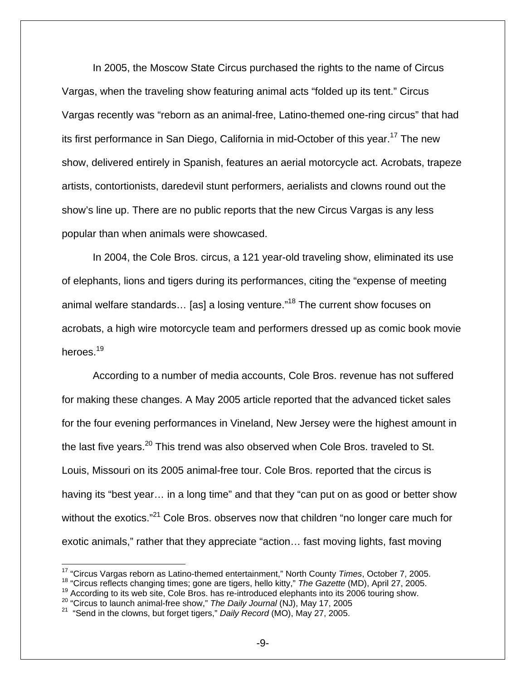In 2005, the Moscow State Circus purchased the rights to the name of Circus Vargas, when the traveling show featuring animal acts "folded up its tent." Circus Vargas recently was "reborn as an animal-free, Latino-themed one-ring circus" that had its first performance in San Diego, California in mid-October of this year.<sup>17</sup> The new show, delivered entirely in Spanish, features an aerial motorcycle act. Acrobats, trapeze artists, contortionists, daredevil stunt performers, aerialists and clowns round out the show's line up. There are no public reports that the new Circus Vargas is any less popular than when animals were showcased.

 In 2004, the Cole Bros. circus, a 121 year-old traveling show, eliminated its use of elephants, lions and tigers during its performances, citing the "expense of meeting animal welfare standards... [as] a losing venture."<sup>18</sup> The current show focuses on acrobats, a high wire motorcycle team and performers dressed up as comic book movie heroes.<sup>19</sup>

According to a number of media accounts, Cole Bros. revenue has not suffered for making these changes. A May 2005 article reported that the advanced ticket sales for the four evening performances in Vineland, New Jersey were the highest amount in the last five years. $^{20}$  This trend was also observed when Cole Bros. traveled to St. Louis, Missouri on its 2005 animal-free tour. Cole Bros. reported that the circus is having its "best year... in a long time" and that they "can put on as good or better show without the exotics."<sup>21</sup> Cole Bros. observes now that children "no longer care much for exotic animals," rather that they appreciate "action… fast moving lights, fast moving

1

<sup>17 &</sup>quot;Circus Vargas reborn as Latino-themed entertainment," North County *Times*, October 7, 2005.

<sup>&</sup>lt;sup>18</sup> "Circus reflects changing times; gone are tigers, hello kitty," *The Gazette* (MD), April 27, 2005.<br><sup>19</sup> According to its web site, Cole Bros. has re-introduced elephants into its 2006 touring show.<br><sup>20</sup> "Circus to l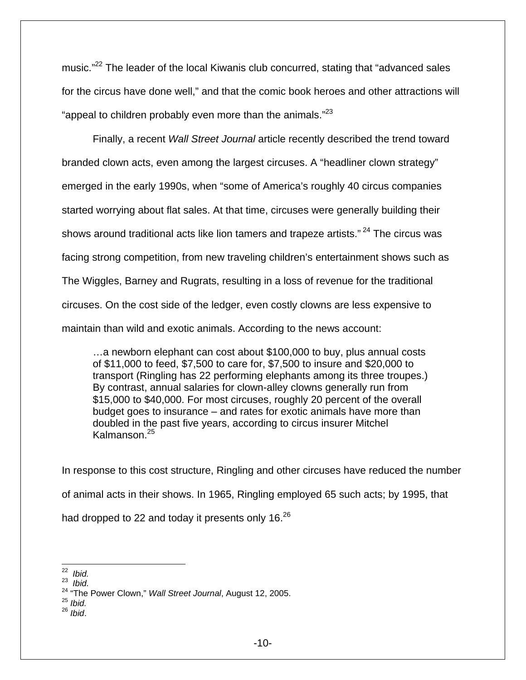music."<sup>22</sup> The leader of the local Kiwanis club concurred, stating that "advanced sales" for the circus have done well," and that the comic book heroes and other attractions will "appeal to children probably even more than the animals." $^{23}$ 

 Finally, a recent *Wall Street Journal* article recently described the trend toward branded clown acts, even among the largest circuses. A "headliner clown strategy" emerged in the early 1990s, when "some of America's roughly 40 circus companies started worrying about flat sales. At that time, circuses were generally building their shows around traditional acts like lion tamers and trapeze artists."<sup>24</sup> The circus was facing strong competition, from new traveling children's entertainment shows such as The Wiggles, Barney and Rugrats, resulting in a loss of revenue for the traditional circuses. On the cost side of the ledger, even costly clowns are less expensive to maintain than wild and exotic animals. According to the news account:

…a newborn elephant can cost about \$100,000 to buy, plus annual costs of \$11,000 to feed, \$7,500 to care for, \$7,500 to insure and \$20,000 to transport (Ringling has 22 performing elephants among its three troupes.) By contrast, annual salaries for clown-alley clowns generally run from \$15,000 to \$40,000. For most circuses, roughly 20 percent of the overall budget goes to insurance – and rates for exotic animals have more than doubled in the past five years, according to circus insurer Mitchel Kalmanson.25

In response to this cost structure, Ringling and other circuses have reduced the number of animal acts in their shows. In 1965, Ringling employed 65 such acts; by 1995, that had dropped to 22 and today it presents only  $16^{26}$ 

<sup>26</sup> *Ibid*.

 $22$  Ibid.

<sup>22</sup> *Ibid.* 23 *Ibid.*

<sup>&</sup>lt;sup>24</sup> "The Power Clown," *Wall Street Journal*, August 12, 2005.<br><sup>25</sup> *Ibid.*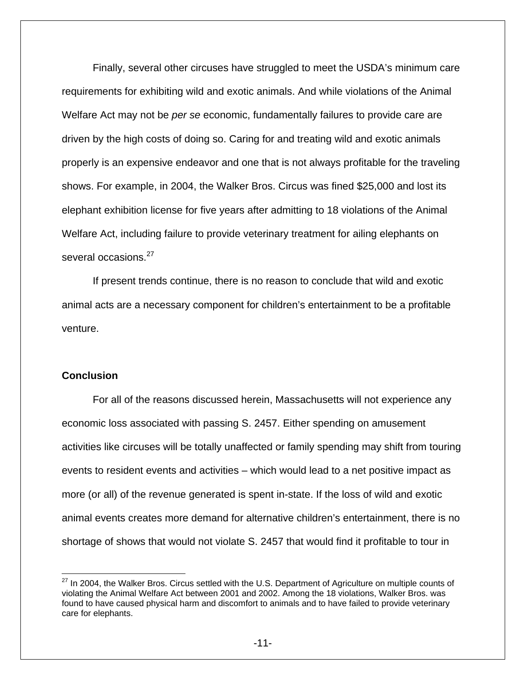Finally, several other circuses have struggled to meet the USDA's minimum care requirements for exhibiting wild and exotic animals. And while violations of the Animal Welfare Act may not be *per se* economic, fundamentally failures to provide care are driven by the high costs of doing so. Caring for and treating wild and exotic animals properly is an expensive endeavor and one that is not always profitable for the traveling shows. For example, in 2004, the Walker Bros. Circus was fined \$25,000 and lost its elephant exhibition license for five years after admitting to 18 violations of the Animal Welfare Act, including failure to provide veterinary treatment for ailing elephants on several occasions.<sup>27</sup>

If present trends continue, there is no reason to conclude that wild and exotic animal acts are a necessary component for children's entertainment to be a profitable venture.

#### **Conclusion**

 $\overline{a}$ 

 For all of the reasons discussed herein, Massachusetts will not experience any economic loss associated with passing S. 2457. Either spending on amusement activities like circuses will be totally unaffected or family spending may shift from touring events to resident events and activities – which would lead to a net positive impact as more (or all) of the revenue generated is spent in-state. If the loss of wild and exotic animal events creates more demand for alternative children's entertainment, there is no shortage of shows that would not violate S. 2457 that would find it profitable to tour in

 $27$  In 2004, the Walker Bros. Circus settled with the U.S. Department of Agriculture on multiple counts of violating the Animal Welfare Act between 2001 and 2002. Among the 18 violations, Walker Bros. was found to have caused physical harm and discomfort to animals and to have failed to provide veterinary care for elephants.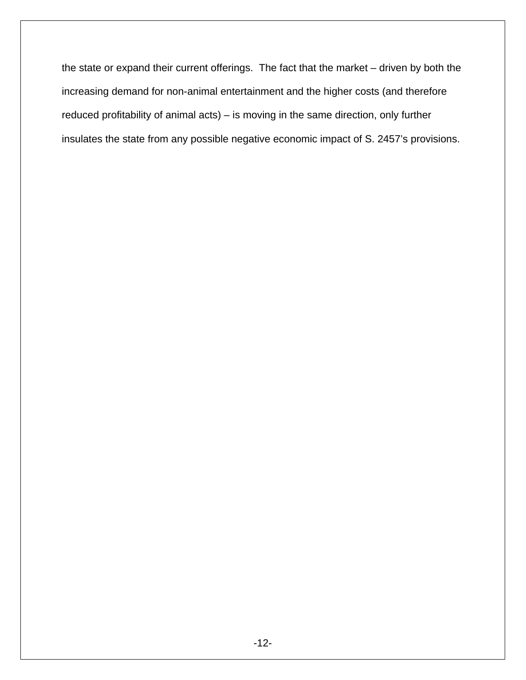the state or expand their current offerings. The fact that the market – driven by both the increasing demand for non-animal entertainment and the higher costs (and therefore reduced profitability of animal acts) – is moving in the same direction, only further insulates the state from any possible negative economic impact of S. 2457's provisions.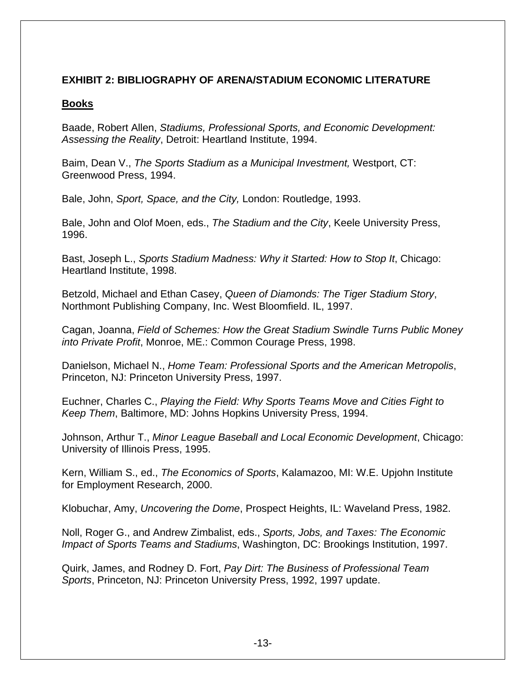## **EXHIBIT 2: BIBLIOGRAPHY OF ARENA/STADIUM ECONOMIC LITERATURE**

### **Books**

Baade, Robert Allen, *Stadiums, Professional Sports, and Economic Development: Assessing the Reality*, Detroit: Heartland Institute, 1994.

Baim, Dean V., *The Sports Stadium as a Municipal Investment,* Westport, CT: Greenwood Press, 1994.

Bale, John, *Sport, Space, and the City,* London: Routledge, 1993.

Bale, John and Olof Moen, eds., *The Stadium and the City*, Keele University Press, 1996.

Bast, Joseph L., *Sports Stadium Madness: Why it Started: How to Stop It*, Chicago: Heartland Institute, 1998.

Betzold, Michael and Ethan Casey, *Queen of Diamonds: The Tiger Stadium Story*, Northmont Publishing Company, Inc. West Bloomfield. IL, 1997.

Cagan, Joanna, *Field of Schemes: How the Great Stadium Swindle Turns Public Money into Private Profit*, Monroe, ME.: Common Courage Press, 1998.

Danielson, Michael N., *Home Team: Professional Sports and the American Metropolis*, Princeton, NJ: Princeton University Press, 1997.

Euchner, Charles C., *Playing the Field: Why Sports Teams Move and Cities Fight to Keep Them*, Baltimore, MD: Johns Hopkins University Press, 1994.

Johnson, Arthur T., *Minor League Baseball and Local Economic Development*, Chicago: University of Illinois Press, 1995.

Kern, William S., ed., *The Economics of Sports*, Kalamazoo, MI: W.E. Upjohn Institute for Employment Research, 2000.

Klobuchar, Amy, *Uncovering the Dome*, Prospect Heights, IL: Waveland Press, 1982.

Noll, Roger G., and Andrew Zimbalist, eds., *Sports, Jobs, and Taxes: The Economic Impact of Sports Teams and Stadiums*, Washington, DC: Brookings Institution, 1997.

Quirk, James, and Rodney D. Fort, *Pay Dirt: The Business of Professional Team Sports*, Princeton, NJ: Princeton University Press, 1992, 1997 update.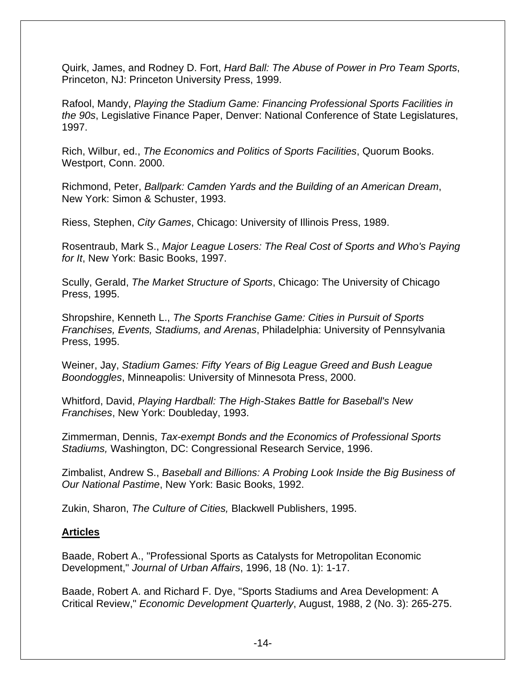Quirk, James, and Rodney D. Fort, *Hard Ball: The Abuse of Power in Pro Team Sports*, Princeton, NJ: Princeton University Press, 1999.

Rafool, Mandy, *Playing the Stadium Game: Financing Professional Sports Facilities in the 90s*, Legislative Finance Paper, Denver: National Conference of State Legislatures, 1997.

Rich, Wilbur, ed., *The Economics and Politics of Sports Facilities*, Quorum Books. Westport, Conn. 2000.

Richmond, Peter, *Ballpark: Camden Yards and the Building of an American Dream*, New York: Simon & Schuster, 1993.

Riess, Stephen, *City Games*, Chicago: University of Illinois Press, 1989.

Rosentraub, Mark S., *Major League Losers: The Real Cost of Sports and Who's Paying for It*, New York: Basic Books, 1997.

Scully, Gerald, *The Market Structure of Sports*, Chicago: The University of Chicago Press, 1995.

Shropshire, Kenneth L., *The Sports Franchise Game: Cities in Pursuit of Sports Franchises, Events, Stadiums, and Arenas*, Philadelphia: University of Pennsylvania Press, 1995.

Weiner, Jay, *Stadium Games: Fifty Years of Big League Greed and Bush League Boondoggles*, Minneapolis: University of Minnesota Press, 2000.

Whitford, David, *Playing Hardball: The High-Stakes Battle for Baseball's New Franchises*, New York: Doubleday, 1993.

Zimmerman, Dennis, *Tax-exempt Bonds and the Economics of Professional Sports Stadiums,* Washington, DC: Congressional Research Service, 1996.

Zimbalist, Andrew S., *Baseball and Billions: A Probing Look Inside the Big Business of Our National Pastime*, New York: Basic Books, 1992.

Zukin, Sharon, *The Culture of Cities,* Blackwell Publishers, 1995.

## **Articles**

Baade, Robert A., "Professional Sports as Catalysts for Metropolitan Economic Development," *Journal of Urban Affairs*, 1996, 18 (No. 1): 1-17.

Baade, Robert A. and Richard F. Dye, "Sports Stadiums and Area Development: A Critical Review," *Economic Development Quarterly*, August, 1988, 2 (No. 3): 265-275.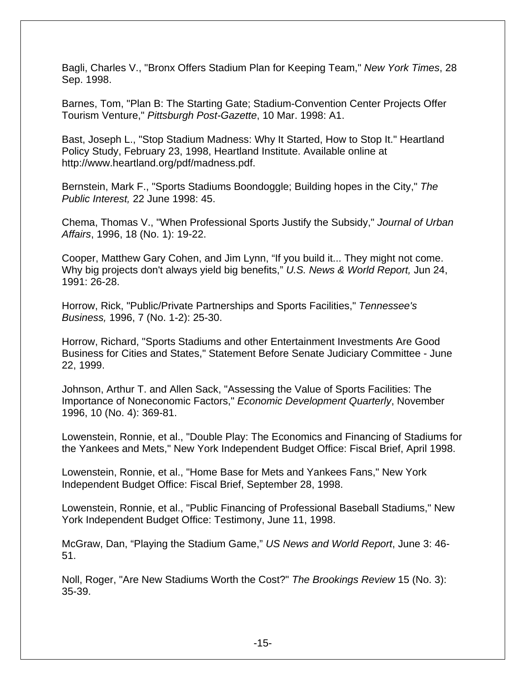Bagli, Charles V., "Bronx Offers Stadium Plan for Keeping Team," *New York Times*, 28 Sep. 1998.

Barnes, Tom, "Plan B: The Starting Gate; Stadium-Convention Center Projects Offer Tourism Venture," *Pittsburgh Post-Gazette*, 10 Mar. 1998: A1.

Bast, Joseph L., "Stop Stadium Madness: Why It Started, How to Stop It." Heartland Policy Study, February 23, 1998, Heartland Institute. Available online at http://www.heartland.org/pdf/madness.pdf.

Bernstein, Mark F., "Sports Stadiums Boondoggle; Building hopes in the City," *The Public Interest,* 22 June 1998: 45.

Chema, Thomas V., "When Professional Sports Justify the Subsidy," *Journal of Urban Affairs*, 1996, 18 (No. 1): 19-22.

Cooper, Matthew Gary Cohen, and Jim Lynn, "If you build it... They might not come. Why big projects don't always yield big benefits," *U.S. News & World Report,* Jun 24, 1991: 26-28.

Horrow, Rick, "Public/Private Partnerships and Sports Facilities," *Tennessee's Business,* 1996, 7 (No. 1-2): 25-30.

Horrow, Richard, "Sports Stadiums and other Entertainment Investments Are Good Business for Cities and States," Statement Before Senate Judiciary Committee - June 22, 1999.

Johnson, Arthur T. and Allen Sack, "Assessing the Value of Sports Facilities: The Importance of Noneconomic Factors," *Economic Development Quarterly*, November 1996, 10 (No. 4): 369-81.

Lowenstein, Ronnie, et al., "Double Play: The Economics and Financing of Stadiums for the Yankees and Mets," New York Independent Budget Office: Fiscal Brief, April 1998.

Lowenstein, Ronnie, et al., "Home Base for Mets and Yankees Fans," New York Independent Budget Office: Fiscal Brief, September 28, 1998.

Lowenstein, Ronnie, et al., "Public Financing of Professional Baseball Stadiums," New York Independent Budget Office: Testimony, June 11, 1998.

McGraw, Dan, "Playing the Stadium Game," *US News and World Report*, June 3: 46- 51.

Noll, Roger, "Are New Stadiums Worth the Cost?" *The Brookings Review* 15 (No. 3): 35-39.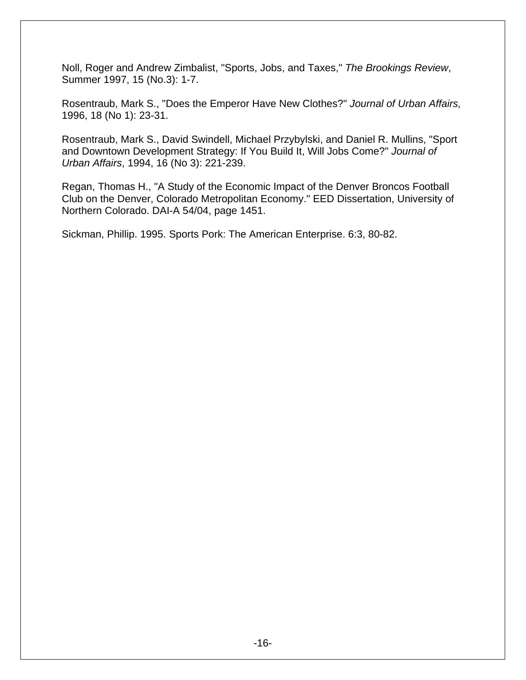Noll, Roger and Andrew Zimbalist, "Sports, Jobs, and Taxes," *The Brookings Review*, Summer 1997, 15 (No.3): 1-7.

Rosentraub, Mark S., "Does the Emperor Have New Clothes?" *Journal of Urban Affairs,* 1996, 18 (No 1): 23-31.

Rosentraub, Mark S., David Swindell, Michael Przybylski, and Daniel R. Mullins, "Sport and Downtown Development Strategy: If You Build It, Will Jobs Come?" *Journal of Urban Affairs*, 1994, 16 (No 3): 221-239.

Regan, Thomas H., "A Study of the Economic Impact of the Denver Broncos Football Club on the Denver, Colorado Metropolitan Economy." EED Dissertation, University of Northern Colorado. DAI-A 54/04, page 1451.

Sickman, Phillip. 1995. Sports Pork: The American Enterprise. 6:3, 80-82.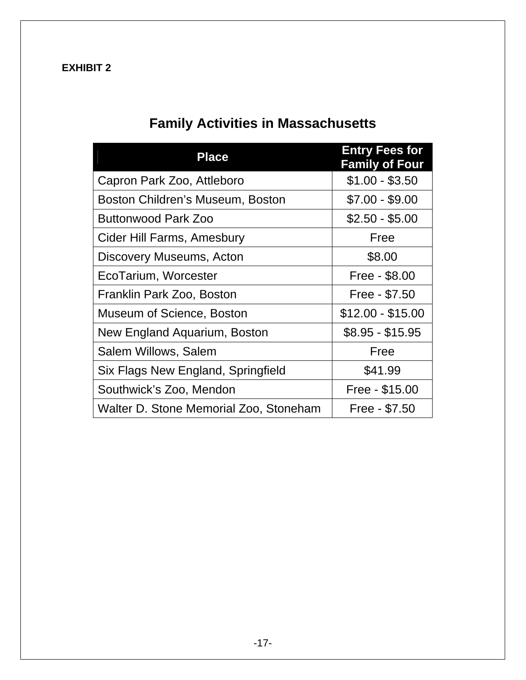## **EXHIBIT 2**

# **Family Activities in Massachusetts**

| <b>Place</b>                           | <b>Entry Fees for</b><br><b>Family of Four</b> |  |
|----------------------------------------|------------------------------------------------|--|
| Capron Park Zoo, Attleboro             | $$1.00 - $3.50$                                |  |
| Boston Children's Museum, Boston       | $$7.00 - $9.00$                                |  |
| Buttonwood Park Zoo                    | $$2.50 - $5.00$                                |  |
| Cider Hill Farms, Amesbury             | Free                                           |  |
| Discovery Museums, Acton               | \$8.00                                         |  |
| EcoTarium, Worcester                   | Free - \$8.00                                  |  |
| Franklin Park Zoo, Boston              | Free - \$7.50                                  |  |
| Museum of Science, Boston              | $$12.00 - $15.00$                              |  |
| New England Aquarium, Boston           | $$8.95 - $15.95$                               |  |
| Salem Willows, Salem                   | Free                                           |  |
| Six Flags New England, Springfield     | \$41.99                                        |  |
| Southwick's Zoo, Mendon                | Free - \$15.00                                 |  |
| Walter D. Stone Memorial Zoo, Stoneham | Free - \$7.50                                  |  |